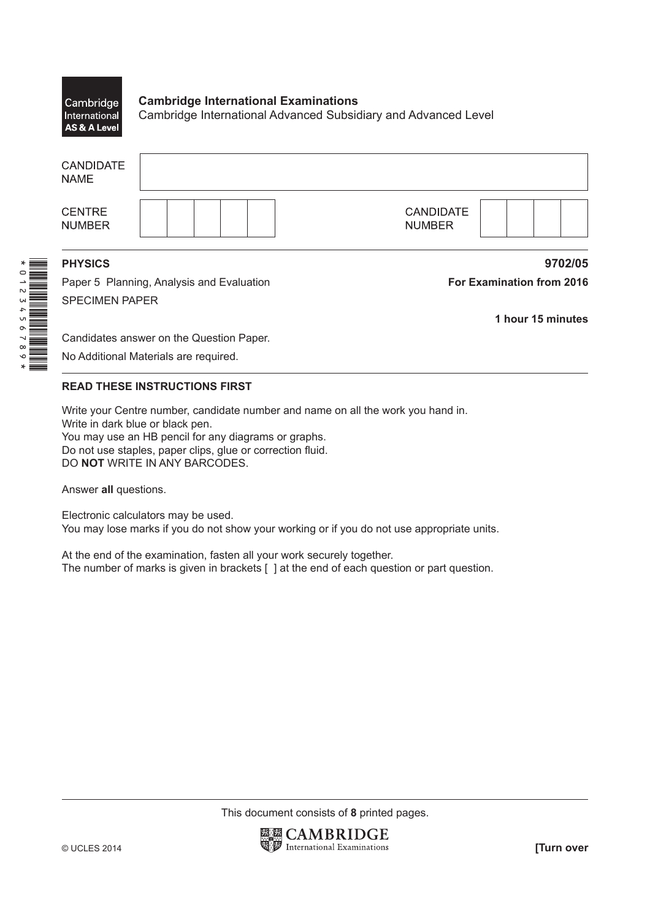## **Cambridge International Examinations** Cambridge International Cambridge International Advanced Subsidiary and Advanced Level AS & A Level

| <b>CANDIDATE</b><br><b>NAME</b> |                                           |                                   |  |
|---------------------------------|-------------------------------------------|-----------------------------------|--|
| <b>CENTRE</b><br><b>NUMBER</b>  |                                           | <b>CANDIDATE</b><br><b>NUMBER</b> |  |
| <b>PHYSICS</b>                  |                                           | 9702/05                           |  |
|                                 | Paper 5 Planning, Analysis and Evaluation | For Examination from 2016         |  |

SPECIMEN PAPER

**1 hour 15 minutes**

Candidates answer on the Question Paper.

No Additional Materials are required.

## **READ THESE INSTRUCTIONS FIRST**

Write your Centre number, candidate number and name on all the work you hand in. Write in dark blue or black pen. You may use an HB pencil for any diagrams or graphs. Do not use staples, paper clips, glue or correction fluid. DO **NOT** WRITE IN ANY BARCODES.

Answer **all** questions.

Electronic calculators may be used. You may lose marks if you do not show your working or if you do not use appropriate units.

At the end of the examination, fasten all your work securely together. The number of marks is given in brackets [ ] at the end of each question or part question.

This document consists of **8** printed pages.

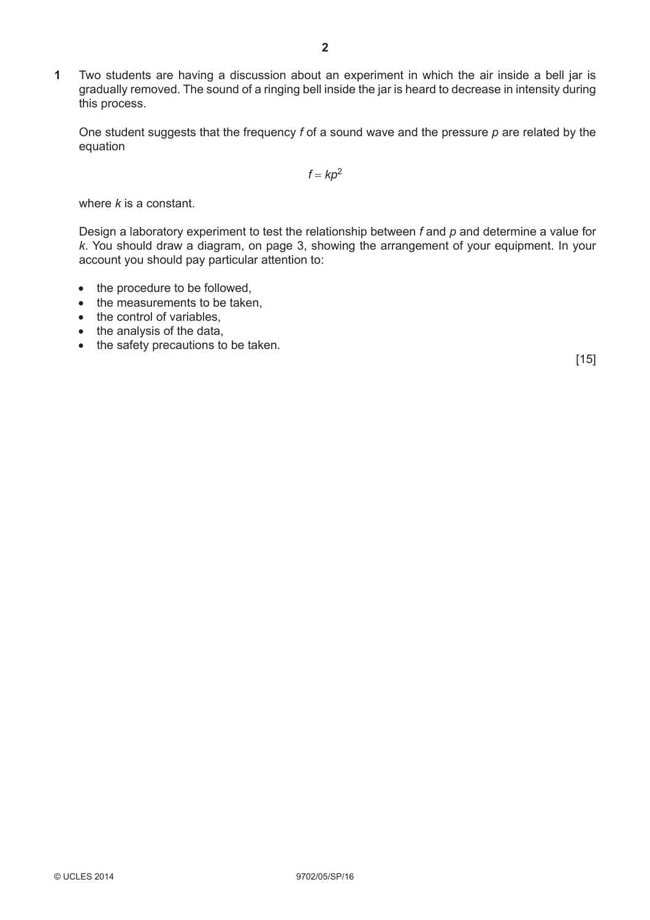**1** Two students are having a discussion about an experiment in which the air inside a bell jar is gradually removed. The sound of a ringing bell inside the jar is heard to decrease in intensity during this process.

One student suggests that the frequency *f* of a sound wave and the pressure *p* are related by the equation

 $f = kp^2$ 

where *k* is a constant.

Design a laboratory experiment to test the relationship between *f* and *p* and determine a value for *k*. You should draw a diagram, on page 3, showing the arrangement of your equipment. In your account you should pay particular attention to:

- the procedure to be followed,
- the measurements to be taken.
- the control of variables,
- the analysis of the data,
- the safety precautions to be taken.

 $[15]$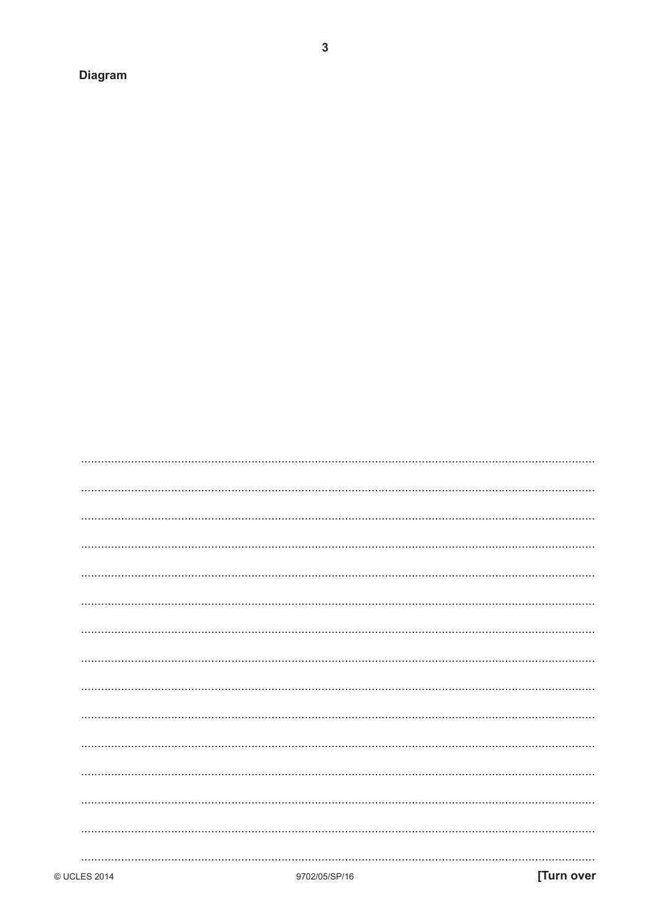**Diagram**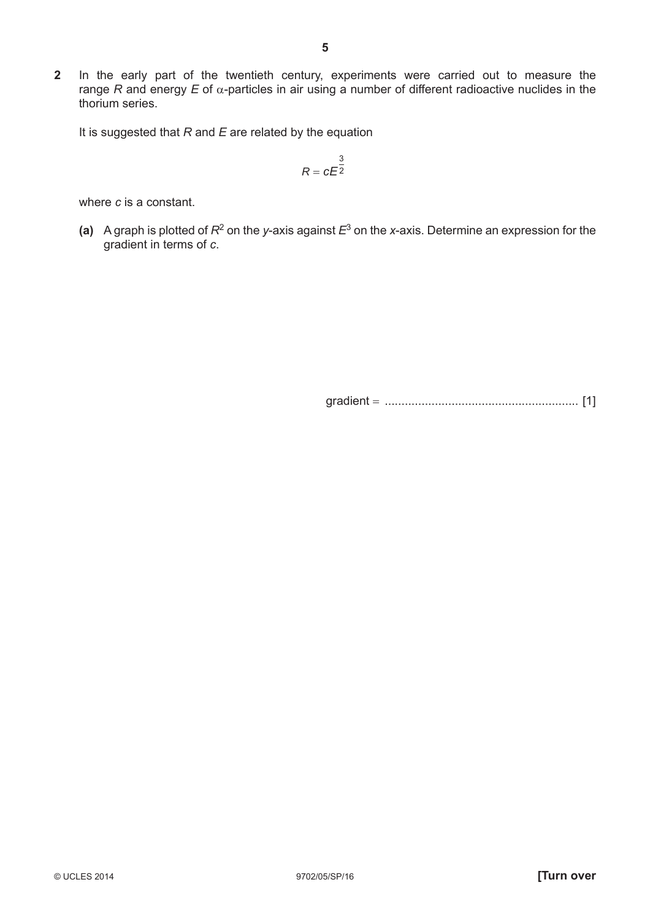**2** In the early part of the twentieth century, experiments were carried out to measure the range *R* and energy *E* of α-particles in air using a number of different radioactive nuclides in the thorium series.

It is suggested that *R* and *E* are related by the equation

$$
R = cE^{\frac{3}{2}}
$$

where *c* is a constant.

 **(a)** A graph is plotted of *R*2 on the *y*-axis against *E*<sup>3</sup> on the *x*-axis. Determine an expression for the gradient in terms of *c*.

gradient = .......................................................... [1]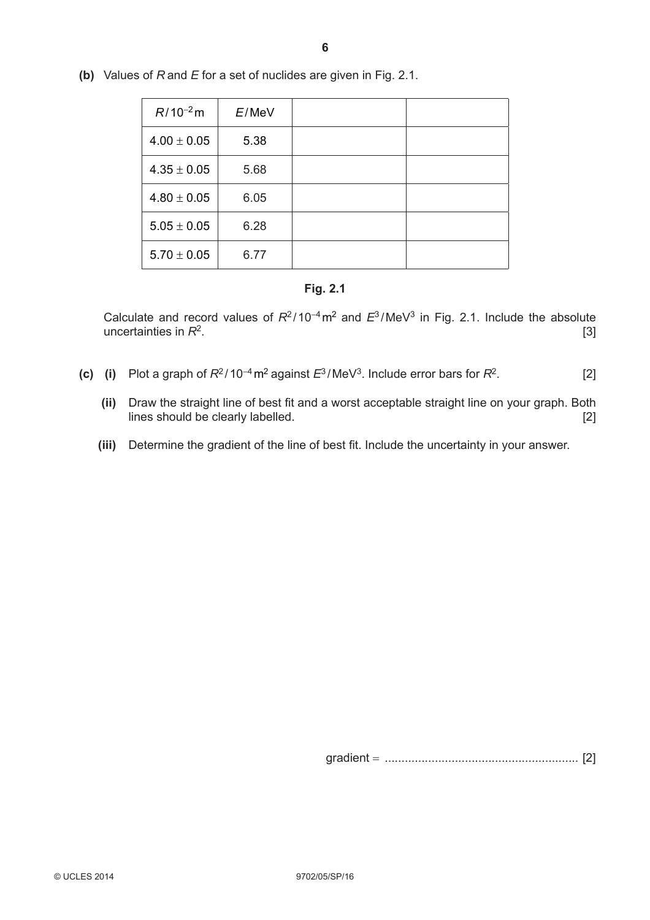| $R/10^{-2}$ m   | $E/M$ e $V$ |  |
|-----------------|-------------|--|
| $4.00 \pm 0.05$ | 5.38        |  |
| $4.35 \pm 0.05$ | 5.68        |  |
| $4.80 \pm 0.05$ | 6.05        |  |
| $5.05 \pm 0.05$ | 6.28        |  |
| $5.70 \pm 0.05$ | 6.77        |  |

 **(b)** Values of *R* and *E* for a set of nuclides are given in Fig. 2.1.

## **Fig. 2.1**

Calculate and record values of *R*<sup>2</sup> /10<sup>−</sup>4m2 and *E*<sup>3</sup> /MeV3 in Fig. 2.1. Include the absolute uncertainties in  $R^2$ . [3]

- **(c)** (i) Plot a graph of  $R^2 / 10^{-4}$  m<sup>2</sup> against  $E^3 / \text{MeV}^3$ . Include error bars for  $R^2$ . [2]
	- (ii) Draw the straight line of best fit and a worst acceptable straight line on your graph. Both lines should be clearly labelled. [2]
	- (iii) Determine the gradient of the line of best fit. Include the uncertainty in your answer.

gradient = .......................................................... [2]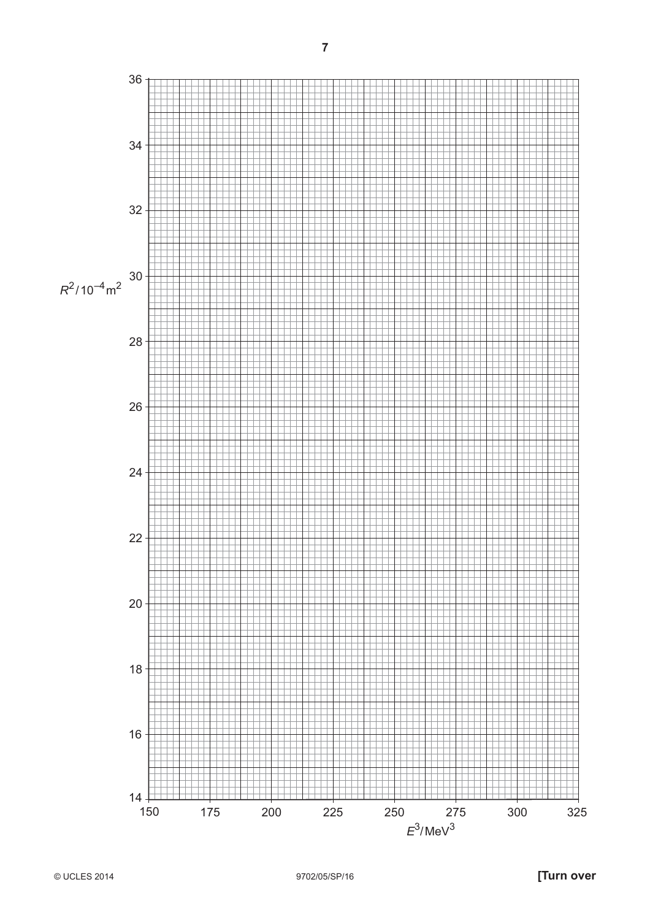